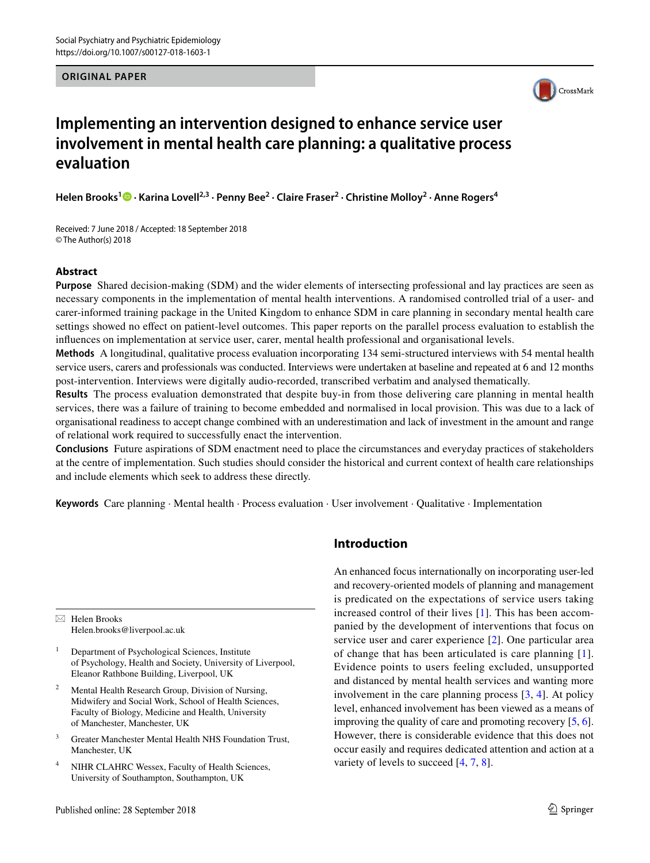#### **ORIGINAL PAPER**



# **Implementing an intervention designed to enhance service user involvement in mental health care planning: a qualitative process evaluation**

**Helen Brooks<sup>1</sup>  [·](http://orcid.org/0000-0002-2157-0200) Karina Lovell2,3 · Penny Bee2 · Claire Fraser2 · Christine Molloy2 · Anne Rogers4**

Received: 7 June 2018 / Accepted: 18 September 2018 © The Author(s) 2018

### **Abstract**

**Purpose** Shared decision-making (SDM) and the wider elements of intersecting professional and lay practices are seen as necessary components in the implementation of mental health interventions. A randomised controlled trial of a user- and carer-informed training package in the United Kingdom to enhance SDM in care planning in secondary mental health care settings showed no effect on patient-level outcomes. This paper reports on the parallel process evaluation to establish the influences on implementation at service user, carer, mental health professional and organisational levels.

**Methods** A longitudinal, qualitative process evaluation incorporating 134 semi-structured interviews with 54 mental health service users, carers and professionals was conducted. Interviews were undertaken at baseline and repeated at 6 and 12 months post-intervention. Interviews were digitally audio-recorded, transcribed verbatim and analysed thematically.

**Results** The process evaluation demonstrated that despite buy-in from those delivering care planning in mental health services, there was a failure of training to become embedded and normalised in local provision. This was due to a lack of organisational readiness to accept change combined with an underestimation and lack of investment in the amount and range of relational work required to successfully enact the intervention.

**Conclusions** Future aspirations of SDM enactment need to place the circumstances and everyday practices of stakeholders at the centre of implementation. Such studies should consider the historical and current context of health care relationships and include elements which seek to address these directly.

**Keywords** Care planning · Mental health · Process evaluation · User involvement · Qualitative · Implementation

 $\boxtimes$  Helen Brooks Helen.brooks@liverpool.ac.uk

- <sup>1</sup> Department of Psychological Sciences, Institute of Psychology, Health and Society, University of Liverpool, Eleanor Rathbone Building, Liverpool, UK
- Mental Health Research Group, Division of Nursing, Midwifery and Social Work, School of Health Sciences, Faculty of Biology, Medicine and Health, University of Manchester, Manchester, UK
- <sup>3</sup> Greater Manchester Mental Health NHS Foundation Trust, Manchester, UK
- <sup>4</sup> NIHR CLAHRC Wessex, Faculty of Health Sciences, University of Southampton, Southampton, UK

### **Introduction**

An enhanced focus internationally on incorporating user-led and recovery-oriented models of planning and management is predicated on the expectations of service users taking increased control of their lives [[1\]](#page-11-0). This has been accompanied by the development of interventions that focus on service user and carer experience [[2\]](#page-11-1). One particular area of change that has been articulated is care planning [[1](#page-11-0)]. Evidence points to users feeling excluded, unsupported and distanced by mental health services and wanting more involvement in the care planning process  $[3, 4]$  $[3, 4]$  $[3, 4]$ . At policy level, enhanced involvement has been viewed as a means of improving the quality of care and promoting recovery [[5,](#page-11-4) [6](#page-11-5)]. However, there is considerable evidence that this does not occur easily and requires dedicated attention and action at a variety of levels to succeed [\[4](#page-11-3), [7](#page-11-6), [8](#page-11-7)].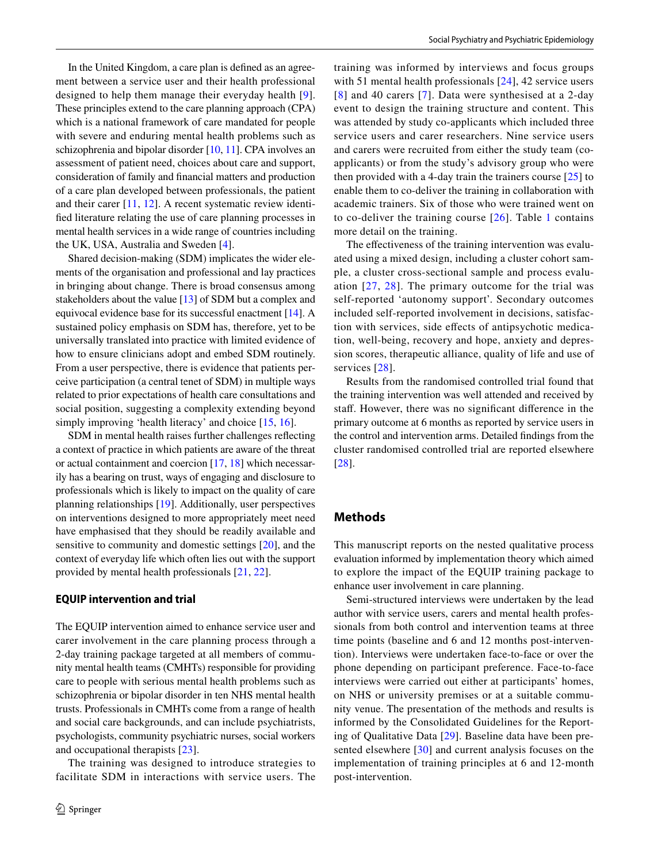In the United Kingdom, a care plan is defined as an agreement between a service user and their health professional designed to help them manage their everyday health [[9](#page-11-8)]. These principles extend to the care planning approach (CPA) which is a national framework of care mandated for people with severe and enduring mental health problems such as schizophrenia and bipolar disorder [\[10,](#page-11-9) [11](#page-11-10)]. CPA involves an assessment of patient need, choices about care and support, consideration of family and financial matters and production of a care plan developed between professionals, the patient and their carer [\[11](#page-11-10), [12\]](#page-11-11). A recent systematic review identified literature relating the use of care planning processes in mental health services in a wide range of countries including the UK, USA, Australia and Sweden [\[4](#page-11-3)].

Shared decision-making (SDM) implicates the wider elements of the organisation and professional and lay practices in bringing about change. There is broad consensus among stakeholders about the value [[13\]](#page-11-12) of SDM but a complex and equivocal evidence base for its successful enactment [\[14\]](#page-11-13). A sustained policy emphasis on SDM has, therefore, yet to be universally translated into practice with limited evidence of how to ensure clinicians adopt and embed SDM routinely. From a user perspective, there is evidence that patients perceive participation (a central tenet of SDM) in multiple ways related to prior expectations of health care consultations and social position, suggesting a complexity extending beyond simply improving 'health literacy' and choice [[15,](#page-11-14) [16](#page-11-15)].

SDM in mental health raises further challenges reflecting a context of practice in which patients are aware of the threat or actual containment and coercion [[17,](#page-11-16) [18](#page-11-17)] which necessarily has a bearing on trust, ways of engaging and disclosure to professionals which is likely to impact on the quality of care planning relationships [\[19\]](#page-11-18). Additionally, user perspectives on interventions designed to more appropriately meet need have emphasised that they should be readily available and sensitive to community and domestic settings [[20](#page-11-19)], and the context of everyday life which often lies out with the support provided by mental health professionals [[21,](#page-11-20) [22\]](#page-11-21).

#### **EQUIP intervention and trial**

The EQUIP intervention aimed to enhance service user and carer involvement in the care planning process through a 2-day training package targeted at all members of community mental health teams (CMHTs) responsible for providing care to people with serious mental health problems such as schizophrenia or bipolar disorder in ten NHS mental health trusts. Professionals in CMHTs come from a range of health and social care backgrounds, and can include psychiatrists, psychologists, community psychiatric nurses, social workers and occupational therapists [[23\]](#page-11-22).

The training was designed to introduce strategies to facilitate SDM in interactions with service users. The training was informed by interviews and focus groups with 51 mental health professionals [[24\]](#page-11-23), 42 service users [[8](#page-11-7)] and 40 carers [[7](#page-11-6)]. Data were synthesised at a 2-day event to design the training structure and content. This was attended by study co-applicants which included three service users and carer researchers. Nine service users and carers were recruited from either the study team (coapplicants) or from the study's advisory group who were then provided with a 4-day train the trainers course  $[25]$  to enable them to co-deliver the training in collaboration with academic trainers. Six of those who were trained went on to co-deliver the training course [[26](#page-12-1)]. Table [1](#page-2-0) contains more detail on the training.

The effectiveness of the training intervention was evaluated using a mixed design, including a cluster cohort sample, a cluster cross-sectional sample and process evaluation [\[27](#page-12-2), [28](#page-12-3)]. The primary outcome for the trial was self-reported 'autonomy support'. Secondary outcomes included self-reported involvement in decisions, satisfaction with services, side effects of antipsychotic medication, well-being, recovery and hope, anxiety and depression scores, therapeutic alliance, quality of life and use of services [[28\]](#page-12-3).

Results from the randomised controlled trial found that the training intervention was well attended and received by staff. However, there was no significant difference in the primary outcome at 6 months as reported by service users in the control and intervention arms. Detailed findings from the cluster randomised controlled trial are reported elsewhere [[28\]](#page-12-3).

### **Methods**

This manuscript reports on the nested qualitative process evaluation informed by implementation theory which aimed to explore the impact of the EQUIP training package to enhance user involvement in care planning.

Semi-structured interviews were undertaken by the lead author with service users, carers and mental health professionals from both control and intervention teams at three time points (baseline and 6 and 12 months post-intervention). Interviews were undertaken face-to-face or over the phone depending on participant preference. Face-to-face interviews were carried out either at participants' homes, on NHS or university premises or at a suitable community venue. The presentation of the methods and results is informed by the Consolidated Guidelines for the Reporting of Qualitative Data [\[29](#page-12-4)]. Baseline data have been presented elsewhere [[30\]](#page-12-5) and current analysis focuses on the implementation of training principles at 6 and 12-month post-intervention.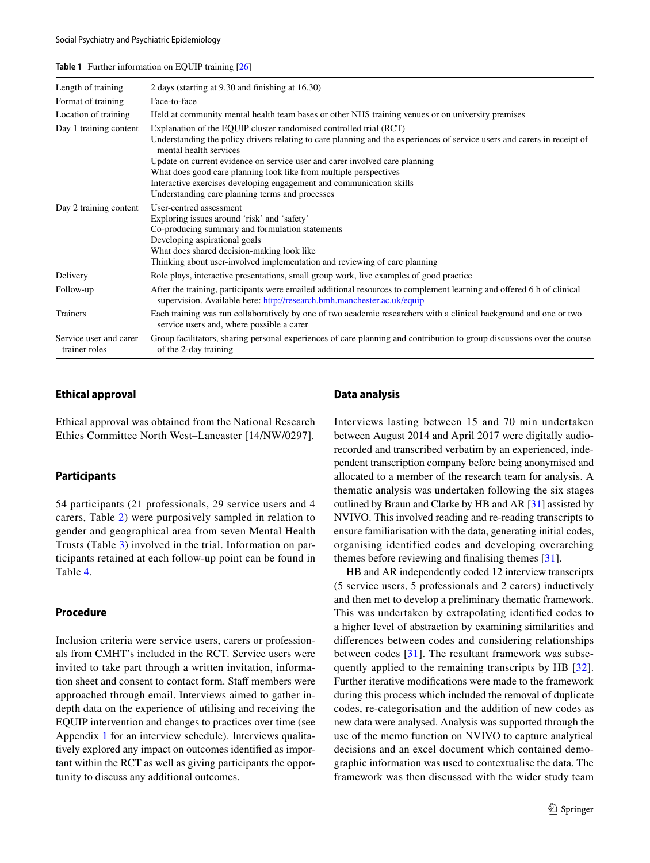#### <span id="page-2-0"></span>**Table 1** Further information on EQUIP training [\[26\]](#page-12-1)

| Length of training                      | 2 days (starting at 9.30 and finishing at 16.30)                                                                                                                                                                                                                                                                                                                                                                                                                                                        |
|-----------------------------------------|---------------------------------------------------------------------------------------------------------------------------------------------------------------------------------------------------------------------------------------------------------------------------------------------------------------------------------------------------------------------------------------------------------------------------------------------------------------------------------------------------------|
| Format of training                      | Face-to-face                                                                                                                                                                                                                                                                                                                                                                                                                                                                                            |
| Location of training                    | Held at community mental health team bases or other NHS training venues or on university premises                                                                                                                                                                                                                                                                                                                                                                                                       |
| Day 1 training content                  | Explanation of the EQUIP cluster randomised controlled trial (RCT)<br>Understanding the policy drivers relating to care planning and the experiences of service users and carers in receipt of<br>mental health services<br>Update on current evidence on service user and carer involved care planning<br>What does good care planning look like from multiple perspectives<br>Interactive exercises developing engagement and communication skills<br>Understanding care planning terms and processes |
| Day 2 training content                  | User-centred assessment<br>Exploring issues around 'risk' and 'safety'<br>Co-producing summary and formulation statements<br>Developing aspirational goals<br>What does shared decision-making look like<br>Thinking about user-involved implementation and reviewing of care planning                                                                                                                                                                                                                  |
| Delivery                                | Role plays, interactive presentations, small group work, live examples of good practice                                                                                                                                                                                                                                                                                                                                                                                                                 |
| Follow-up                               | After the training, participants were emailed additional resources to complement learning and offered 6 h of clinical<br>supervision. Available here: http://research.bmh.manchester.ac.uk/equip                                                                                                                                                                                                                                                                                                        |
| Trainers                                | Each training was run collaboratively by one of two academic researchers with a clinical background and one or two<br>service users and, where possible a carer                                                                                                                                                                                                                                                                                                                                         |
| Service user and carer<br>trainer roles | Group facilitators, sharing personal experiences of care planning and contribution to group discussions over the course<br>of the 2-day training                                                                                                                                                                                                                                                                                                                                                        |

### **Ethical approval**

Ethical approval was obtained from the National Research Ethics Committee North West–Lancaster [14/NW/0297].

#### **Participants**

54 participants (21 professionals, 29 service users and 4 carers, Table [2\)](#page-3-0) were purposively sampled in relation to gender and geographical area from seven Mental Health Trusts (Table [3](#page-3-1)) involved in the trial. Information on participants retained at each follow-up point can be found in Table [4](#page-4-0).

### **Procedure**

Inclusion criteria were service users, carers or professionals from CMHT's included in the RCT. Service users were invited to take part through a written invitation, information sheet and consent to contact form. Staff members were approached through email. Interviews aimed to gather indepth data on the experience of utilising and receiving the EQUIP intervention and changes to practices over time (see Appendix [1](#page-9-0) for an interview schedule). Interviews qualitatively explored any impact on outcomes identified as important within the RCT as well as giving participants the opportunity to discuss any additional outcomes.

#### **Data analysis**

Interviews lasting between 15 and 70 min undertaken between August 2014 and April 2017 were digitally audiorecorded and transcribed verbatim by an experienced, independent transcription company before being anonymised and allocated to a member of the research team for analysis. A thematic analysis was undertaken following the six stages outlined by Braun and Clarke by HB and AR [[31](#page-12-6)] assisted by NVIVO. This involved reading and re-reading transcripts to ensure familiarisation with the data, generating initial codes, organising identified codes and developing overarching themes before reviewing and finalising themes [\[31](#page-12-6)].

HB and AR independently coded 12 interview transcripts (5 service users, 5 professionals and 2 carers) inductively and then met to develop a preliminary thematic framework. This was undertaken by extrapolating identified codes to a higher level of abstraction by examining similarities and differences between codes and considering relationships between codes [[31\]](#page-12-6). The resultant framework was subsequently applied to the remaining transcripts by HB [[32](#page-12-7)]. Further iterative modifications were made to the framework during this process which included the removal of duplicate codes, re-categorisation and the addition of new codes as new data were analysed. Analysis was supported through the use of the memo function on NVIVO to capture analytical decisions and an excel document which contained demographic information was used to contextualise the data. The framework was then discussed with the wider study team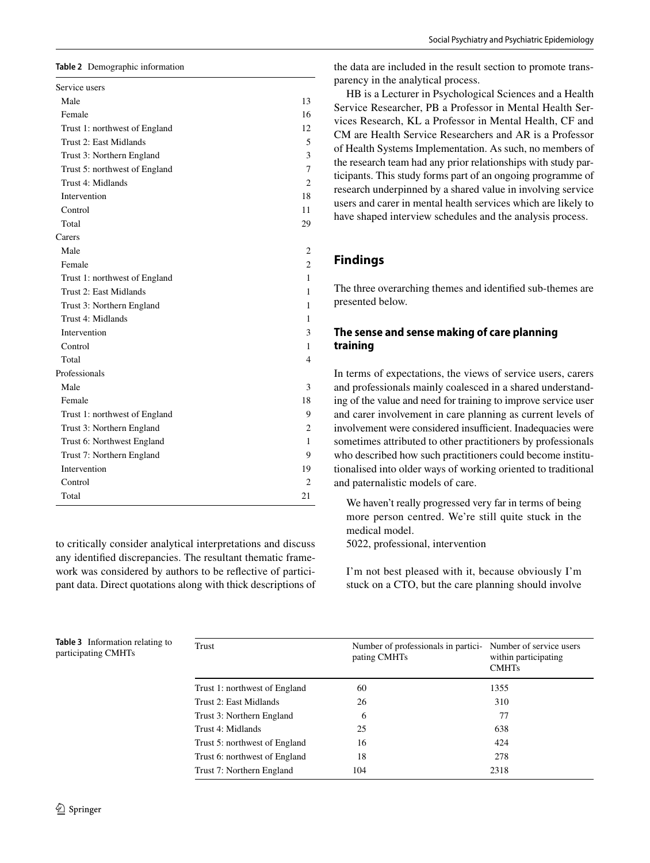<span id="page-3-0"></span>**Table 2** Demographic information

| Service users                 |                          |
|-------------------------------|--------------------------|
| Male                          | 13                       |
| Female                        | 16                       |
| Trust 1: northwest of England | 12                       |
| Trust 2: East Midlands        | 5                        |
| Trust 3: Northern England     | 3                        |
| Trust 5: northwest of England | 7                        |
| Trust 4: Midlands             | $\overline{c}$           |
| Intervention                  | 18                       |
| Control                       | 11                       |
| Total                         | 29                       |
| Carers                        |                          |
| Male                          | 2                        |
| Female                        | 2                        |
| Trust 1: northwest of England | 1                        |
| Trust 2: East Midlands        | 1                        |
| Trust 3: Northern England     | 1                        |
| Trust 4: Midlands             | 1                        |
| Intervention                  | 3                        |
| Control                       | 1                        |
| Total                         | $\overline{\mathcal{L}}$ |
| Professionals                 |                          |
| Male                          | 3                        |
| Female                        | 18                       |
| Trust 1: northwest of England | 9                        |
| Trust 3: Northern England     | 2                        |
| Trust 6: Northwest England    | 1                        |
| Trust 7: Northern England     | 9                        |
| Intervention                  | 19                       |
| Control                       | 2                        |
| Total                         | 21                       |

to critically consider analytical interpretations and discuss any identified discrepancies. The resultant thematic framework was considered by authors to be reflective of participant data. Direct quotations along with thick descriptions of Social Psychiatry and Psychiatric Epidemiology

the data are included in the result section to promote transparency in the analytical process.

HB is a Lecturer in Psychological Sciences and a Health Service Researcher, PB a Professor in Mental Health Services Research, KL a Professor in Mental Health, CF and CM are Health Service Researchers and AR is a Professor of Health Systems Implementation. As such, no members of the research team had any prior relationships with study participants. This study forms part of an ongoing programme of research underpinned by a shared value in involving service users and carer in mental health services which are likely to have shaped interview schedules and the analysis process.

# **Findings**

The three overarching themes and identified sub-themes are presented below.

# **The sense and sense making of care planning training**

In terms of expectations, the views of service users, carers and professionals mainly coalesced in a shared understanding of the value and need for training to improve service user and carer involvement in care planning as current levels of involvement were considered insufficient. Inadequacies were sometimes attributed to other practitioners by professionals who described how such practitioners could become institutionalised into older ways of working oriented to traditional and paternalistic models of care.

We haven't really progressed very far in terms of being more person centred. We're still quite stuck in the medical model.

5022, professional, intervention

I'm not best pleased with it, because obviously I'm stuck on a CTO, but the care planning should involve

<span id="page-3-1"></span>**Table 3** Information relating to participating CMHTs

| Number of professionals in partici-<br>Number of service users<br>within participating<br><b>CMHTs</b> |
|--------------------------------------------------------------------------------------------------------|
| 1355                                                                                                   |
| 310                                                                                                    |
| 77                                                                                                     |
| 638                                                                                                    |
| 424                                                                                                    |
| 278                                                                                                    |
| 2318                                                                                                   |
|                                                                                                        |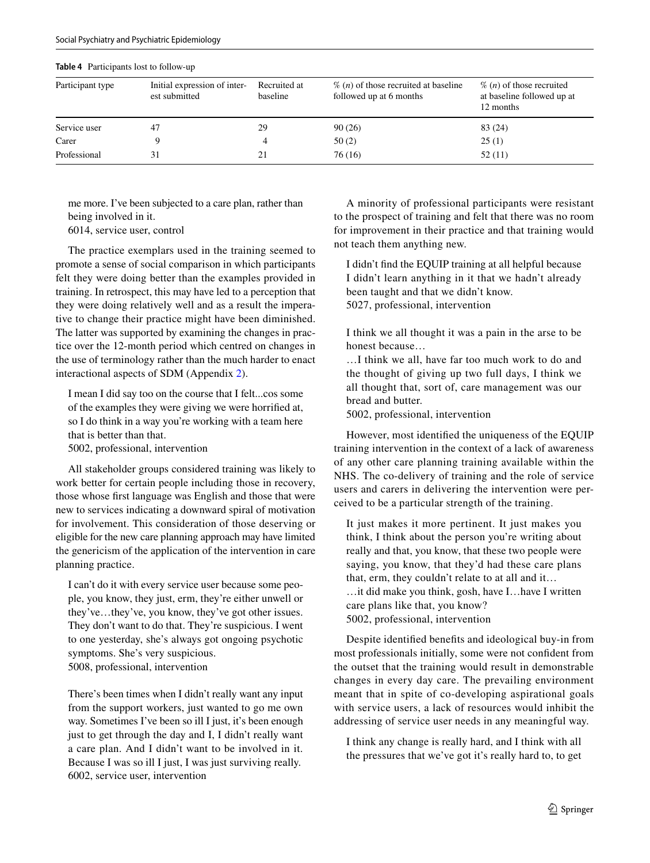<span id="page-4-0"></span>

| Participant type | Initial expression of inter-<br>est submitted | Recruited at<br>baseline | $\%$ ( <i>n</i> ) of those recruited at baseline<br>followed up at 6 months | $\%$ ( <i>n</i> ) of those recruited<br>at baseline followed up at<br>12 months |
|------------------|-----------------------------------------------|--------------------------|-----------------------------------------------------------------------------|---------------------------------------------------------------------------------|
| Service user     | 47                                            | 29                       | 90(26)                                                                      | 83 (24)                                                                         |
| Carer            |                                               |                          | 50(2)                                                                       | 25(1)                                                                           |
| Professional     | 31                                            |                          | 76 (16)                                                                     | 52(11)                                                                          |

me more. I've been subjected to a care plan, rather than being involved in it. 6014, service user, control

The practice exemplars used in the training seemed to promote a sense of social comparison in which participants felt they were doing better than the examples provided in training. In retrospect, this may have led to a perception that they were doing relatively well and as a result the imperative to change their practice might have been diminished. The latter was supported by examining the changes in practice over the 12-month period which centred on changes in the use of terminology rather than the much harder to enact interactional aspects of SDM (Appendix [2\)](#page-9-1).

I mean I did say too on the course that I felt...cos some of the examples they were giving we were horrified at, so I do think in a way you're working with a team here that is better than that.

5002, professional, intervention

All stakeholder groups considered training was likely to work better for certain people including those in recovery, those whose first language was English and those that were new to services indicating a downward spiral of motivation for involvement. This consideration of those deserving or eligible for the new care planning approach may have limited the genericism of the application of the intervention in care planning practice.

I can't do it with every service user because some people, you know, they just, erm, they're either unwell or they've…they've, you know, they've got other issues. They don't want to do that. They're suspicious. I went to one yesterday, she's always got ongoing psychotic symptoms. She's very suspicious. 5008, professional, intervention

There's been times when I didn't really want any input from the support workers, just wanted to go me own way. Sometimes I've been so ill I just, it's been enough just to get through the day and I, I didn't really want a care plan. And I didn't want to be involved in it. Because I was so ill I just, I was just surviving really. 6002, service user, intervention

A minority of professional participants were resistant to the prospect of training and felt that there was no room for improvement in their practice and that training would not teach them anything new.

I didn't find the EQUIP training at all helpful because I didn't learn anything in it that we hadn't already been taught and that we didn't know. 5027, professional, intervention

I think we all thought it was a pain in the arse to be honest because…

…I think we all, have far too much work to do and the thought of giving up two full days, I think we all thought that, sort of, care management was our bread and butter.

5002, professional, intervention

However, most identified the uniqueness of the EQUIP training intervention in the context of a lack of awareness of any other care planning training available within the NHS. The co-delivery of training and the role of service users and carers in delivering the intervention were perceived to be a particular strength of the training.

It just makes it more pertinent. It just makes you think, I think about the person you're writing about really and that, you know, that these two people were saying, you know, that they'd had these care plans that, erm, they couldn't relate to at all and it… …it did make you think, gosh, have I…have I written care plans like that, you know? 5002, professional, intervention

Despite identified benefits and ideological buy-in from most professionals initially, some were not confident from the outset that the training would result in demonstrable changes in every day care. The prevailing environment meant that in spite of co-developing aspirational goals with service users, a lack of resources would inhibit the addressing of service user needs in any meaningful way.

I think any change is really hard, and I think with all the pressures that we've got it's really hard to, to get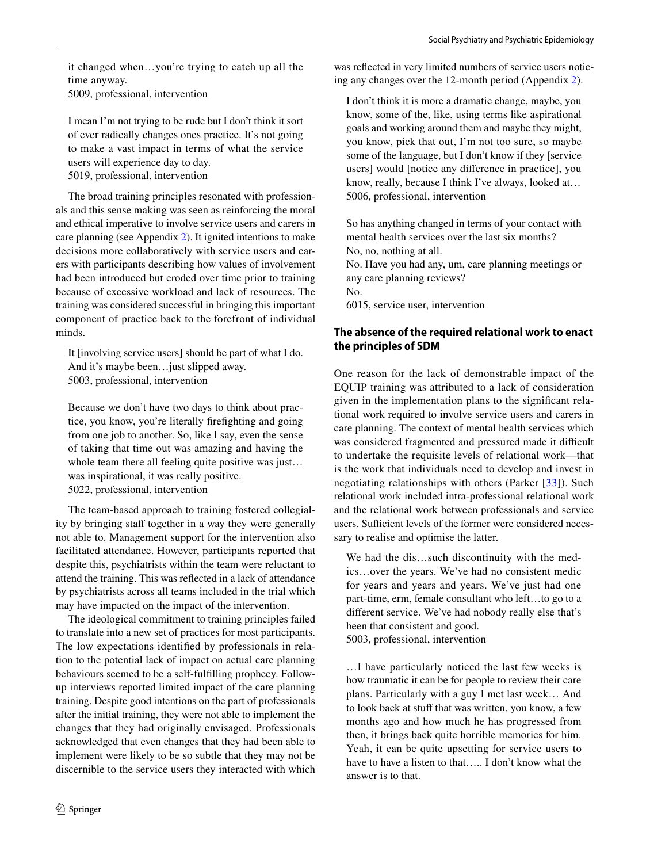it changed when…you're trying to catch up all the time anyway. 5009, professional, intervention

I mean I'm not trying to be rude but I don't think it sort of ever radically changes ones practice. It's not going to make a vast impact in terms of what the service users will experience day to day. 5019, professional, intervention

The broad training principles resonated with professionals and this sense making was seen as reinforcing the moral and ethical imperative to involve service users and carers in care planning (see Appendix [2\)](#page-9-1). It ignited intentions to make decisions more collaboratively with service users and carers with participants describing how values of involvement had been introduced but eroded over time prior to training because of excessive workload and lack of resources. The training was considered successful in bringing this important component of practice back to the forefront of individual minds.

It [involving service users] should be part of what I do. And it's maybe been…just slipped away. 5003, professional, intervention

Because we don't have two days to think about practice, you know, you're literally firefighting and going from one job to another. So, like I say, even the sense of taking that time out was amazing and having the whole team there all feeling quite positive was just... was inspirational, it was really positive. 5022, professional, intervention

The team-based approach to training fostered collegiality by bringing staff together in a way they were generally not able to. Management support for the intervention also facilitated attendance. However, participants reported that despite this, psychiatrists within the team were reluctant to attend the training. This was reflected in a lack of attendance by psychiatrists across all teams included in the trial which may have impacted on the impact of the intervention.

The ideological commitment to training principles failed to translate into a new set of practices for most participants. The low expectations identified by professionals in relation to the potential lack of impact on actual care planning behaviours seemed to be a self-fulfilling prophecy. Followup interviews reported limited impact of the care planning training. Despite good intentions on the part of professionals after the initial training, they were not able to implement the changes that they had originally envisaged. Professionals acknowledged that even changes that they had been able to implement were likely to be so subtle that they may not be discernible to the service users they interacted with which

was reflected in very limited numbers of service users noticing any changes over the 12-month period (Appendix [2\)](#page-9-1).

I don't think it is more a dramatic change, maybe, you know, some of the, like, using terms like aspirational goals and working around them and maybe they might, you know, pick that out, I'm not too sure, so maybe some of the language, but I don't know if they [service users] would [notice any difference in practice], you know, really, because I think I've always, looked at… 5006, professional, intervention

So has anything changed in terms of your contact with mental health services over the last six months? No, no, nothing at all.

No. Have you had any, um, care planning meetings or any care planning reviews?

No.

6015, service user, intervention

### **The absence of the required relational work to enact the principles of SDM**

One reason for the lack of demonstrable impact of the EQUIP training was attributed to a lack of consideration given in the implementation plans to the significant relational work required to involve service users and carers in care planning. The context of mental health services which was considered fragmented and pressured made it difficult to undertake the requisite levels of relational work—that is the work that individuals need to develop and invest in negotiating relationships with others (Parker [[33\]](#page-12-8)). Such relational work included intra-professional relational work and the relational work between professionals and service users. Sufficient levels of the former were considered necessary to realise and optimise the latter.

We had the dis…such discontinuity with the medics…over the years. We've had no consistent medic for years and years and years. We've just had one part-time, erm, female consultant who left…to go to a different service. We've had nobody really else that's been that consistent and good. 5003, professional, intervention

…I have particularly noticed the last few weeks is how traumatic it can be for people to review their care plans. Particularly with a guy I met last week… And to look back at stuff that was written, you know, a few months ago and how much he has progressed from then, it brings back quite horrible memories for him. Yeah, it can be quite upsetting for service users to have to have a listen to that….. I don't know what the answer is to that.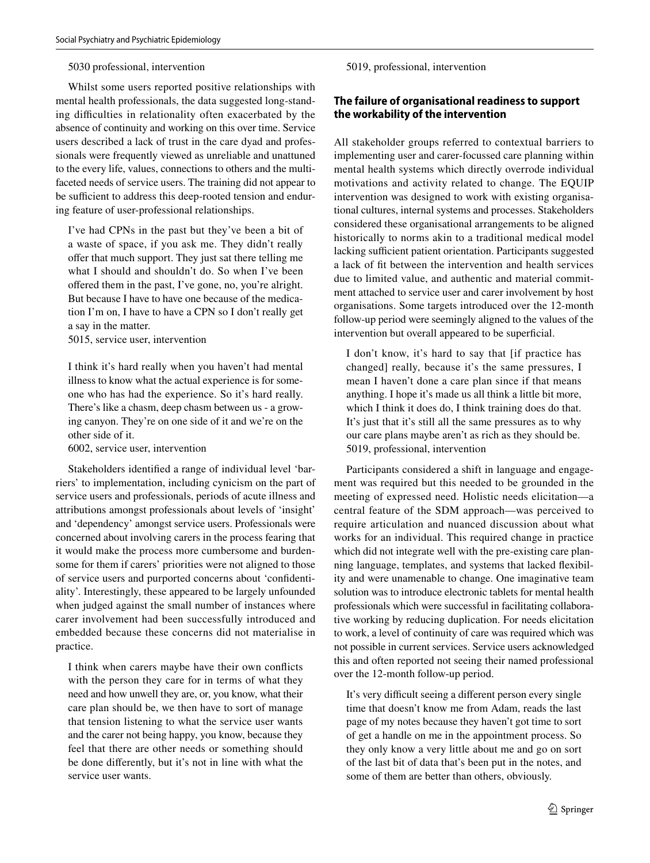#### 5030 professional, intervention

Whilst some users reported positive relationships with mental health professionals, the data suggested long-standing difficulties in relationality often exacerbated by the absence of continuity and working on this over time. Service users described a lack of trust in the care dyad and professionals were frequently viewed as unreliable and unattuned to the every life, values, connections to others and the multifaceted needs of service users. The training did not appear to be sufficient to address this deep-rooted tension and enduring feature of user-professional relationships.

I've had CPNs in the past but they've been a bit of a waste of space, if you ask me. They didn't really offer that much support. They just sat there telling me what I should and shouldn't do. So when I've been offered them in the past, I've gone, no, you're alright. But because I have to have one because of the medication I'm on, I have to have a CPN so I don't really get a say in the matter.

5015, service user, intervention

I think it's hard really when you haven't had mental illness to know what the actual experience is for someone who has had the experience. So it's hard really. There's like a chasm, deep chasm between us - a growing canyon. They're on one side of it and we're on the other side of it.

6002, service user, intervention

Stakeholders identified a range of individual level 'barriers' to implementation, including cynicism on the part of service users and professionals, periods of acute illness and attributions amongst professionals about levels of 'insight' and 'dependency' amongst service users. Professionals were concerned about involving carers in the process fearing that it would make the process more cumbersome and burdensome for them if carers' priorities were not aligned to those of service users and purported concerns about 'confidentiality'. Interestingly, these appeared to be largely unfounded when judged against the small number of instances where carer involvement had been successfully introduced and embedded because these concerns did not materialise in practice.

I think when carers maybe have their own conflicts with the person they care for in terms of what they need and how unwell they are, or, you know, what their care plan should be, we then have to sort of manage that tension listening to what the service user wants and the carer not being happy, you know, because they feel that there are other needs or something should be done differently, but it's not in line with what the service user wants.

5019, professional, intervention

### **The failure of organisational readiness to support the workability of the intervention**

All stakeholder groups referred to contextual barriers to implementing user and carer-focussed care planning within mental health systems which directly overrode individual motivations and activity related to change. The EQUIP intervention was designed to work with existing organisational cultures, internal systems and processes. Stakeholders considered these organisational arrangements to be aligned historically to norms akin to a traditional medical model lacking sufficient patient orientation. Participants suggested a lack of fit between the intervention and health services due to limited value, and authentic and material commitment attached to service user and carer involvement by host organisations. Some targets introduced over the 12-month follow-up period were seemingly aligned to the values of the intervention but overall appeared to be superficial.

I don't know, it's hard to say that [if practice has changed] really, because it's the same pressures, I mean I haven't done a care plan since if that means anything. I hope it's made us all think a little bit more, which I think it does do, I think training does do that. It's just that it's still all the same pressures as to why our care plans maybe aren't as rich as they should be. 5019, professional, intervention

Participants considered a shift in language and engagement was required but this needed to be grounded in the meeting of expressed need. Holistic needs elicitation—a central feature of the SDM approach—was perceived to require articulation and nuanced discussion about what works for an individual. This required change in practice which did not integrate well with the pre-existing care planning language, templates, and systems that lacked flexibility and were unamenable to change. One imaginative team solution was to introduce electronic tablets for mental health professionals which were successful in facilitating collaborative working by reducing duplication. For needs elicitation to work, a level of continuity of care was required which was not possible in current services. Service users acknowledged this and often reported not seeing their named professional over the 12-month follow-up period.

It's very difficult seeing a different person every single time that doesn't know me from Adam, reads the last page of my notes because they haven't got time to sort of get a handle on me in the appointment process. So they only know a very little about me and go on sort of the last bit of data that's been put in the notes, and some of them are better than others, obviously.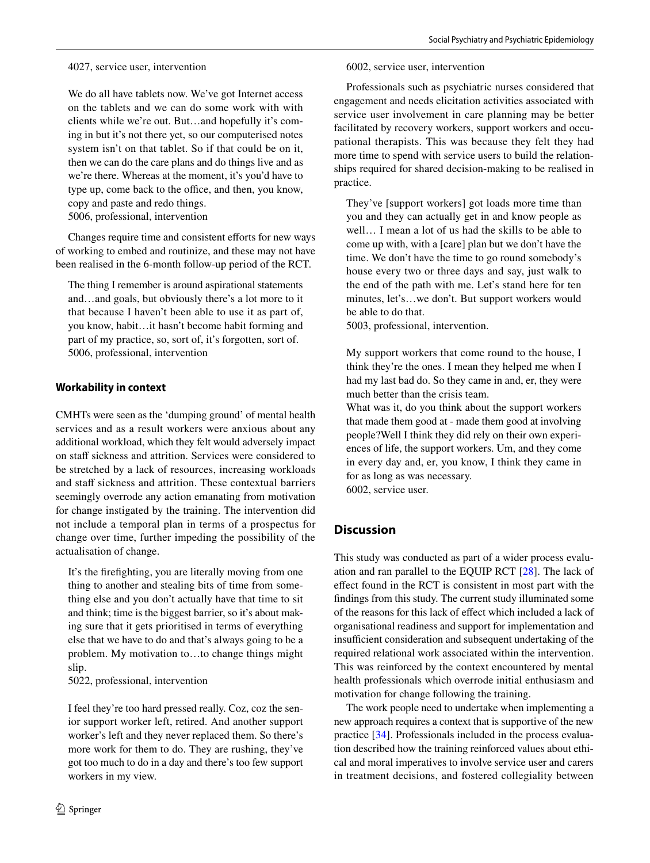4027, service user, intervention

We do all have tablets now. We've got Internet access on the tablets and we can do some work with with clients while we're out. But…and hopefully it's coming in but it's not there yet, so our computerised notes system isn't on that tablet. So if that could be on it, then we can do the care plans and do things live and as we're there. Whereas at the moment, it's you'd have to type up, come back to the office, and then, you know, copy and paste and redo things. 5006, professional, intervention

Changes require time and consistent efforts for new ways of working to embed and routinize, and these may not have been realised in the 6-month follow-up period of the RCT.

The thing I remember is around aspirational statements and…and goals, but obviously there's a lot more to it that because I haven't been able to use it as part of, you know, habit…it hasn't become habit forming and part of my practice, so, sort of, it's forgotten, sort of. 5006, professional, intervention

### **Workability in context**

CMHTs were seen as the 'dumping ground' of mental health services and as a result workers were anxious about any additional workload, which they felt would adversely impact on staff sickness and attrition. Services were considered to be stretched by a lack of resources, increasing workloads and staff sickness and attrition. These contextual barriers seemingly overrode any action emanating from motivation for change instigated by the training. The intervention did not include a temporal plan in terms of a prospectus for change over time, further impeding the possibility of the actualisation of change.

It's the firefighting, you are literally moving from one thing to another and stealing bits of time from something else and you don't actually have that time to sit and think; time is the biggest barrier, so it's about making sure that it gets prioritised in terms of everything else that we have to do and that's always going to be a problem. My motivation to…to change things might slip.

5022, professional, intervention

I feel they're too hard pressed really. Coz, coz the senior support worker left, retired. And another support worker's left and they never replaced them. So there's more work for them to do. They are rushing, they've got too much to do in a day and there's too few support workers in my view.

6002, service user, intervention

Professionals such as psychiatric nurses considered that engagement and needs elicitation activities associated with service user involvement in care planning may be better facilitated by recovery workers, support workers and occupational therapists. This was because they felt they had more time to spend with service users to build the relationships required for shared decision-making to be realised in practice.

They've [support workers] got loads more time than you and they can actually get in and know people as well… I mean a lot of us had the skills to be able to come up with, with a [care] plan but we don't have the time. We don't have the time to go round somebody's house every two or three days and say, just walk to the end of the path with me. Let's stand here for ten minutes, let's…we don't. But support workers would be able to do that.

5003, professional, intervention.

My support workers that come round to the house, I think they're the ones. I mean they helped me when I had my last bad do. So they came in and, er, they were much better than the crisis team.

What was it, do you think about the support workers that made them good at - made them good at involving people?Well I think they did rely on their own experiences of life, the support workers. Um, and they come in every day and, er, you know, I think they came in for as long as was necessary.

6002, service user.

# **Discussion**

This study was conducted as part of a wider process evaluation and ran parallel to the EQUIP RCT [\[28](#page-12-3)]. The lack of effect found in the RCT is consistent in most part with the findings from this study. The current study illuminated some of the reasons for this lack of effect which included a lack of organisational readiness and support for implementation and insufficient consideration and subsequent undertaking of the required relational work associated within the intervention. This was reinforced by the context encountered by mental health professionals which overrode initial enthusiasm and motivation for change following the training.

The work people need to undertake when implementing a new approach requires a context that is supportive of the new practice [\[34](#page-12-9)]. Professionals included in the process evaluation described how the training reinforced values about ethical and moral imperatives to involve service user and carers in treatment decisions, and fostered collegiality between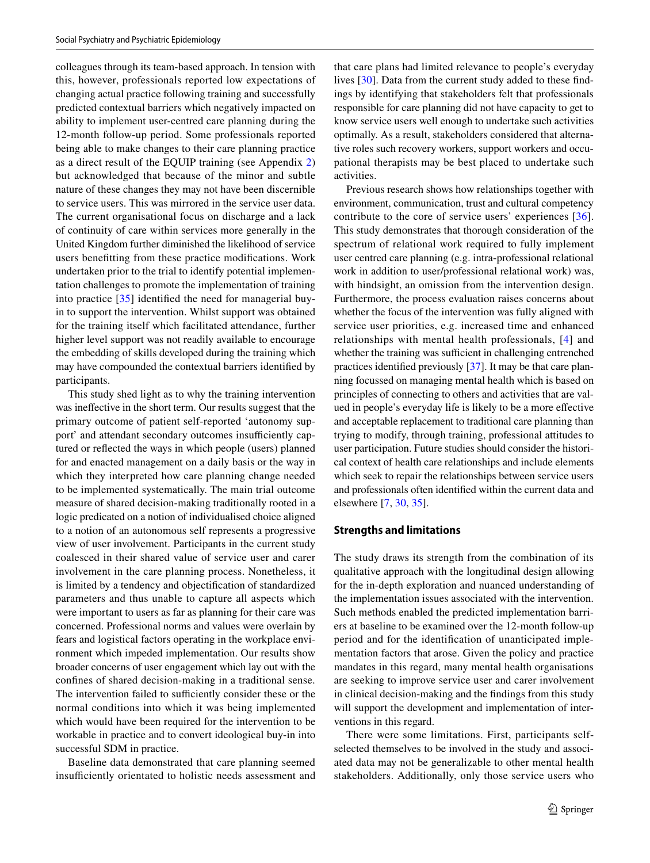colleagues through its team-based approach. In tension with this, however, professionals reported low expectations of changing actual practice following training and successfully predicted contextual barriers which negatively impacted on ability to implement user-centred care planning during the 12-month follow-up period. Some professionals reported being able to make changes to their care planning practice as a direct result of the EQUIP training (see Appendix [2\)](#page-9-1) but acknowledged that because of the minor and subtle nature of these changes they may not have been discernible to service users. This was mirrored in the service user data. The current organisational focus on discharge and a lack of continuity of care within services more generally in the United Kingdom further diminished the likelihood of service users benefitting from these practice modifications. Work undertaken prior to the trial to identify potential implementation challenges to promote the implementation of training into practice [[35\]](#page-12-10) identified the need for managerial buyin to support the intervention. Whilst support was obtained for the training itself which facilitated attendance, further higher level support was not readily available to encourage the embedding of skills developed during the training which may have compounded the contextual barriers identified by participants.

This study shed light as to why the training intervention was ineffective in the short term. Our results suggest that the primary outcome of patient self-reported 'autonomy support' and attendant secondary outcomes insufficiently captured or reflected the ways in which people (users) planned for and enacted management on a daily basis or the way in which they interpreted how care planning change needed to be implemented systematically. The main trial outcome measure of shared decision-making traditionally rooted in a logic predicated on a notion of individualised choice aligned to a notion of an autonomous self represents a progressive view of user involvement. Participants in the current study coalesced in their shared value of service user and carer involvement in the care planning process. Nonetheless, it is limited by a tendency and objectification of standardized parameters and thus unable to capture all aspects which were important to users as far as planning for their care was concerned. Professional norms and values were overlain by fears and logistical factors operating in the workplace environment which impeded implementation. Our results show broader concerns of user engagement which lay out with the confines of shared decision-making in a traditional sense. The intervention failed to sufficiently consider these or the normal conditions into which it was being implemented which would have been required for the intervention to be workable in practice and to convert ideological buy-in into successful SDM in practice.

Baseline data demonstrated that care planning seemed insufficiently orientated to holistic needs assessment and that care plans had limited relevance to people's everyday lives [[30](#page-12-5)]. Data from the current study added to these findings by identifying that stakeholders felt that professionals responsible for care planning did not have capacity to get to know service users well enough to undertake such activities optimally. As a result, stakeholders considered that alternative roles such recovery workers, support workers and occupational therapists may be best placed to undertake such activities.

Previous research shows how relationships together with environment, communication, trust and cultural competency contribute to the core of service users' experiences [[36](#page-12-11)]. This study demonstrates that thorough consideration of the spectrum of relational work required to fully implement user centred care planning (e.g. intra-professional relational work in addition to user/professional relational work) was, with hindsight, an omission from the intervention design. Furthermore, the process evaluation raises concerns about whether the focus of the intervention was fully aligned with service user priorities, e.g. increased time and enhanced relationships with mental health professionals, [[4\]](#page-11-3) and whether the training was sufficient in challenging entrenched practices identified previously [[37\]](#page-12-12). It may be that care planning focussed on managing mental health which is based on principles of connecting to others and activities that are valued in people's everyday life is likely to be a more effective and acceptable replacement to traditional care planning than trying to modify, through training, professional attitudes to user participation. Future studies should consider the historical context of health care relationships and include elements which seek to repair the relationships between service users and professionals often identified within the current data and elsewhere [\[7](#page-11-6), [30](#page-12-5), [35](#page-12-10)].

#### **Strengths and limitations**

The study draws its strength from the combination of its qualitative approach with the longitudinal design allowing for the in-depth exploration and nuanced understanding of the implementation issues associated with the intervention. Such methods enabled the predicted implementation barriers at baseline to be examined over the 12-month follow-up period and for the identification of unanticipated implementation factors that arose. Given the policy and practice mandates in this regard, many mental health organisations are seeking to improve service user and carer involvement in clinical decision-making and the findings from this study will support the development and implementation of interventions in this regard.

There were some limitations. First, participants selfselected themselves to be involved in the study and associated data may not be generalizable to other mental health stakeholders. Additionally, only those service users who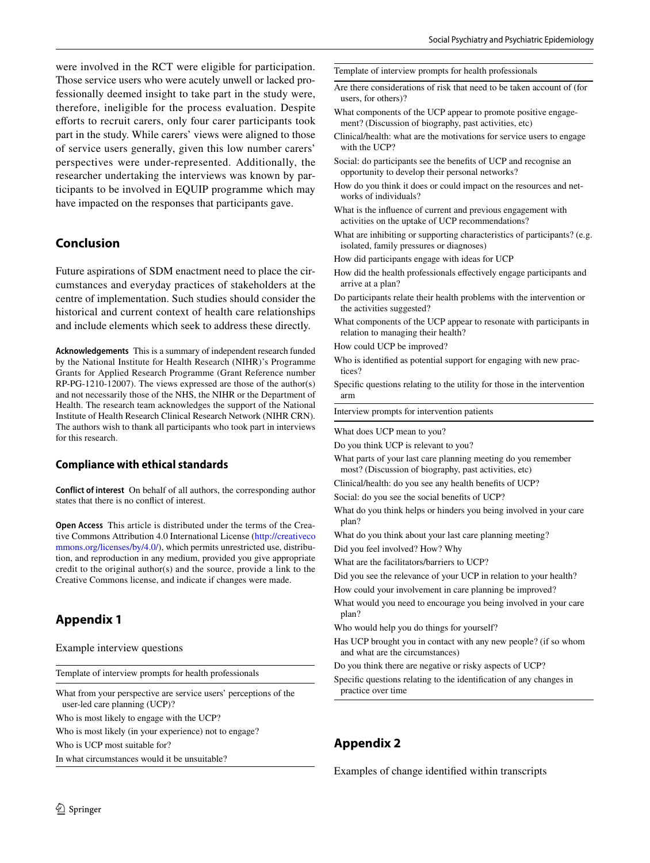were involved in the RCT were eligible for participation. Those service users who were acutely unwell or lacked professionally deemed insight to take part in the study were, therefore, ineligible for the process evaluation. Despite efforts to recruit carers, only four carer participants took part in the study. While carers' views were aligned to those of service users generally, given this low number carers' perspectives were under-represented. Additionally, the researcher undertaking the interviews was known by participants to be involved in EQUIP programme which may have impacted on the responses that participants gave.

### **Conclusion**

Future aspirations of SDM enactment need to place the circumstances and everyday practices of stakeholders at the centre of implementation. Such studies should consider the historical and current context of health care relationships and include elements which seek to address these directly.

**Acknowledgements** This is a summary of independent research funded by the National Institute for Health Research (NIHR)'s Programme Grants for Applied Research Programme (Grant Reference number RP-PG-1210-12007). The views expressed are those of the author(s) and not necessarily those of the NHS, the NIHR or the Department of Health. The research team acknowledges the support of the National Institute of Health Research Clinical Research Network (NIHR CRN). The authors wish to thank all participants who took part in interviews for this research.

#### **Compliance with ethical standards**

**Conflict of interest** On behalf of all authors, the corresponding author states that there is no conflict of interest.

**Open Access** This article is distributed under the terms of the Creative Commons Attribution 4.0 International License [\(http://creativeco](http://creativecommons.org/licenses/by/4.0/) [mmons.org/licenses/by/4.0/](http://creativecommons.org/licenses/by/4.0/)), which permits unrestricted use, distribution, and reproduction in any medium, provided you give appropriate credit to the original author(s) and the source, provide a link to the Creative Commons license, and indicate if changes were made.

# <span id="page-9-0"></span>**Appendix 1**

Example interview questions

Template of interview prompts for health professionals

What from your perspective are service users' perceptions of the user-led care planning (UCP)?

Who is most likely to engage with the UCP?

Who is most likely (in your experience) not to engage?

Who is UCP most suitable for?

In what circumstances would it be unsuitable?

Template of interview prompts for health professionals

- Are there considerations of risk that need to be taken account of (for users, for others)?
- What components of the UCP appear to promote positive engagement? (Discussion of biography, past activities, etc)
- Clinical/health: what are the motivations for service users to engage with the HCP?
- Social: do participants see the benefits of UCP and recognise an opportunity to develop their personal networks?
- How do you think it does or could impact on the resources and networks of individuals?
- What is the influence of current and previous engagement with activities on the uptake of UCP recommendations?
- What are inhibiting or supporting characteristics of participants? (e.g. isolated, family pressures or diagnoses)
- How did participants engage with ideas for UCP
- How did the health professionals effectively engage participants and arrive at a plan?
- Do participants relate their health problems with the intervention or the activities suggested?

What components of the UCP appear to resonate with participants in relation to managing their health?

- How could UCP be improved?
- Who is identified as potential support for engaging with new practices?
- Specific questions relating to the utility for those in the intervention arm

Interview prompts for intervention patients

What does UCP mean to you?

Do you think UCP is relevant to you?

What parts of your last care planning meeting do you remember most? (Discussion of biography, past activities, etc)

Clinical/health: do you see any health benefits of UCP?

Social: do you see the social benefits of UCP?

What do you think helps or hinders you being involved in your care plan?

What do you think about your last care planning meeting?

Did you feel involved? How? Why

What are the facilitators/barriers to UCP?

Did you see the relevance of your UCP in relation to your health?

How could your involvement in care planning be improved?

What would you need to encourage you being involved in your care plan?

Who would help you do things for yourself?

Has UCP brought you in contact with any new people? (if so whom and what are the circumstances)

Do you think there are negative or risky aspects of UCP?

Specific questions relating to the identification of any changes in practice over time

### <span id="page-9-1"></span>**Appendix 2**

Examples of change identified within transcripts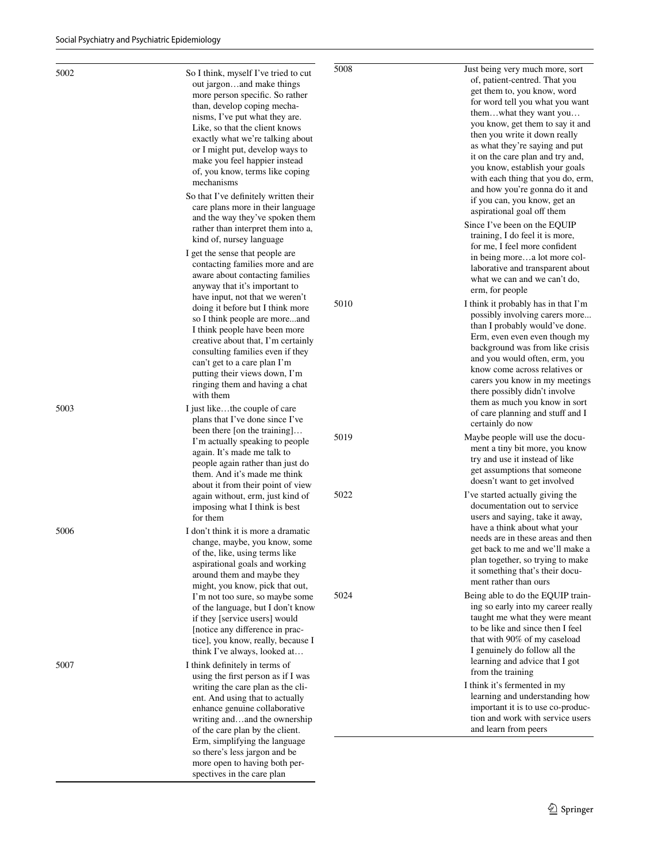|      |                                                                                                                                                                                                                                                                                                                                                                                                                                                | 5008 | Just being very much more, sort                                                                                                                                                                                                                                                                                                                                                                                                             |
|------|------------------------------------------------------------------------------------------------------------------------------------------------------------------------------------------------------------------------------------------------------------------------------------------------------------------------------------------------------------------------------------------------------------------------------------------------|------|---------------------------------------------------------------------------------------------------------------------------------------------------------------------------------------------------------------------------------------------------------------------------------------------------------------------------------------------------------------------------------------------------------------------------------------------|
| 5002 | So I think, myself I've tried to cut<br>out jargonand make things<br>more person specific. So rather<br>than, develop coping mecha-<br>nisms, I've put what they are.<br>Like, so that the client knows<br>exactly what we're talking about<br>or I might put, develop ways to<br>make you feel happier instead<br>of, you know, terms like coping<br>mechanisms<br>So that I've definitely written their<br>care plans more in their language |      | of, patient-centred. That you<br>get them to, you know, word<br>for word tell you what you want<br>themwhat they want you<br>you know, get them to say it and<br>then you write it down really<br>as what they're saying and put<br>it on the care plan and try and,<br>you know, establish your goals<br>with each thing that you do, erm,<br>and how you're gonna do it and<br>if you can, you know, get an<br>aspirational goal off them |
|      | and the way they've spoken them<br>rather than interpret them into a,                                                                                                                                                                                                                                                                                                                                                                          |      | Since I've been on the EQUIP                                                                                                                                                                                                                                                                                                                                                                                                                |
|      | kind of, nursey language                                                                                                                                                                                                                                                                                                                                                                                                                       |      | training, I do feel it is more,<br>for me, I feel more confident                                                                                                                                                                                                                                                                                                                                                                            |
|      | I get the sense that people are<br>contacting families more and are<br>aware about contacting families<br>anyway that it's important to<br>have input, not that we weren't                                                                                                                                                                                                                                                                     |      | in being morea lot more col-<br>laborative and transparent about<br>what we can and we can't do,<br>erm, for people                                                                                                                                                                                                                                                                                                                         |
|      | doing it before but I think more<br>so I think people are moreand<br>I think people have been more<br>creative about that, I'm certainly<br>consulting families even if they<br>can't get to a care plan I'm<br>putting their views down, I'm<br>ringing them and having a chat<br>with them                                                                                                                                                   | 5010 | I think it probably has in that I'm<br>possibly involving carers more<br>than I probably would've done.<br>Erm, even even even though my<br>background was from like crisis<br>and you would often, erm, you<br>know come across relatives or<br>carers you know in my meetings<br>there possibly didn't involve<br>them as much you know in sort                                                                                           |
| 5003 | I just likethe couple of care<br>plans that I've done since I've                                                                                                                                                                                                                                                                                                                                                                               |      | of care planning and stuff and I<br>certainly do now                                                                                                                                                                                                                                                                                                                                                                                        |
|      | been there [on the training]<br>I'm actually speaking to people<br>again. It's made me talk to<br>people again rather than just do<br>them. And it's made me think<br>about it from their point of view                                                                                                                                                                                                                                        | 5019 | Maybe people will use the docu-<br>ment a tiny bit more, you know<br>try and use it instead of like<br>get assumptions that someone<br>doesn't want to get involved                                                                                                                                                                                                                                                                         |
|      | again without, erm, just kind of<br>imposing what I think is best<br>for them                                                                                                                                                                                                                                                                                                                                                                  | 5022 | I've started actually giving the<br>documentation out to service<br>users and saying, take it away,                                                                                                                                                                                                                                                                                                                                         |
| 5006 | I don't think it is more a dramatic<br>change, maybe, you know, some<br>of the, like, using terms like<br>aspirational goals and working<br>around them and maybe they<br>might, you know, pick that out,                                                                                                                                                                                                                                      |      | have a think about what your<br>needs are in these areas and then<br>get back to me and we'll make a<br>plan together, so trying to make<br>it something that's their docu-<br>ment rather than ours                                                                                                                                                                                                                                        |
|      | I'm not too sure, so maybe some<br>of the language, but I don't know<br>if they [service users] would<br>Inotice any difference in prac-<br>tice], you know, really, because I<br>think I've always, looked at                                                                                                                                                                                                                                 | 5024 | Being able to do the EQUIP train-<br>ing so early into my career really<br>taught me what they were meant<br>to be like and since then I feel<br>that with 90% of my caseload<br>I genuinely do follow all the                                                                                                                                                                                                                              |
| 5007 | I think definitely in terms of<br>using the first person as if I was<br>writing the care plan as the cli-<br>ent. And using that to actually<br>enhance genuine collaborative<br>writing andand the ownership<br>of the care plan by the client.<br>Erm, simplifying the language<br>so there's less jargon and be<br>more open to having both per-                                                                                            |      | learning and advice that I got<br>from the training<br>I think it's fermented in my<br>learning and understanding how<br>important it is to use co-produc-<br>tion and work with service users<br>and learn from peers                                                                                                                                                                                                                      |

spectives in the care plan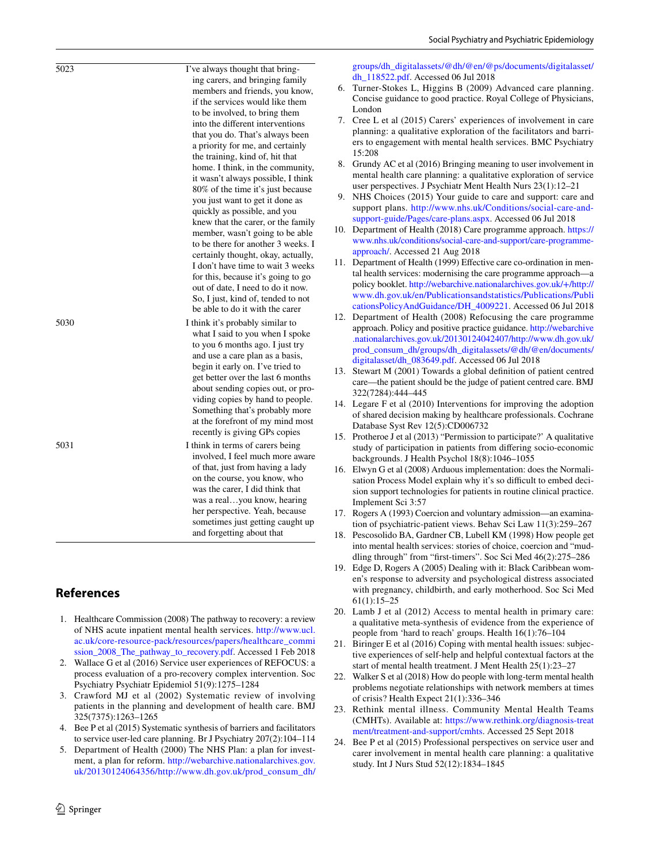| 5023 | I've always thought that bring-    |
|------|------------------------------------|
|      | ing carers, and bringing family    |
|      | members and friends, you know,     |
|      | if the services would like them    |
|      | to be involved, to bring them      |
|      | into the different interventions   |
|      | that you do. That's always been    |
|      | a priority for me, and certainly   |
|      | the training, kind of, hit that    |
|      | home. I think, in the community,   |
|      | it wasn't always possible, I think |
|      | 80% of the time it's just because  |
|      | you just want to get it done as    |
|      | quickly as possible, and you       |
|      | knew that the carer, or the family |
|      | member, wasn't going to be able    |
|      | to be there for another 3 weeks. I |
|      | certainly thought, okay, actually, |
|      | I don't have time to wait 3 weeks  |
|      | for this, because it's going to go |
|      | out of date, I need to do it now.  |
|      | So, I just, kind of, tended to not |
|      | be able to do it with the carer    |
| 5030 | I think it's probably similar to   |
|      | what I said to you when I spoke    |
|      | to you 6 months ago. I just try    |
|      | and use a care plan as a basis,    |
|      | begin it early on. I've tried to   |
|      | get better over the last 6 months  |
|      | about sending copies out, or pro-  |
|      | viding copies by hand to people.   |
|      | Something that's probably more     |
|      | at the forefront of my mind most   |
|      | recently is giving GPs copies      |
| 5031 | I think in terms of carers being   |
|      | involved, I feel much more aware   |
|      | of that, just from having a lady   |
|      | on the course, you know, who       |
|      | was the carer, I did think that    |
|      | was a realyou know, hearing        |
|      | her perspective. Yeah, because     |
|      | sometimes just getting caught up   |
|      | and forgetting about that          |
|      |                                    |

### **References**

- <span id="page-11-0"></span>1. Healthcare Commission (2008) The pathway to recovery: a review of NHS acute inpatient mental health services. [http://www.ucl.](http://www.ucl.ac.uk/core-resource-pack/resources/papers/healthcare_commission_2008_The_pathway_to_recovery.pdf) [ac.uk/core-resource-pack/resources/papers/healthcare\\_commi](http://www.ucl.ac.uk/core-resource-pack/resources/papers/healthcare_commission_2008_The_pathway_to_recovery.pdf) [ssion\\_2008\\_The\\_pathway\\_to\\_recovery.pdf.](http://www.ucl.ac.uk/core-resource-pack/resources/papers/healthcare_commission_2008_The_pathway_to_recovery.pdf) Accessed 1 Feb 2018
- <span id="page-11-1"></span>2. Wallace G et al (2016) Service user experiences of REFOCUS: a process evaluation of a pro-recovery complex intervention. Soc Psychiatry Psychiatr Epidemiol 51(9):1275–1284
- <span id="page-11-2"></span>3. Crawford MJ et al (2002) Systematic review of involving patients in the planning and development of health care. BMJ 325(7375):1263–1265
- <span id="page-11-3"></span>4. Bee P et al (2015) Systematic synthesis of barriers and facilitators to service user-led care planning. Br J Psychiatry 207(2):104–114
- <span id="page-11-4"></span>5. Department of Health (2000) The NHS Plan: a plan for investment, a plan for reform. [http://webarchive.nationalarchives.gov.](http://webarchive.nationalarchives.gov.uk/20130124064356/http://www.dh.gov.uk/prod_consum_dh/groups/dh_digitalassets/@dh/@en/@ps/documents/digitalasset/dh_118522.pdf) [uk/20130124064356/http://www.dh.gov.uk/prod\\_consum\\_dh/](http://webarchive.nationalarchives.gov.uk/20130124064356/http://www.dh.gov.uk/prod_consum_dh/groups/dh_digitalassets/@dh/@en/@ps/documents/digitalasset/dh_118522.pdf)

[groups/dh\\_digitalassets/@dh/@en/@ps/documents/digitalasset/](http://webarchive.nationalarchives.gov.uk/20130124064356/http://www.dh.gov.uk/prod_consum_dh/groups/dh_digitalassets/@dh/@en/@ps/documents/digitalasset/dh_118522.pdf) [dh\\_118522.pdf](http://webarchive.nationalarchives.gov.uk/20130124064356/http://www.dh.gov.uk/prod_consum_dh/groups/dh_digitalassets/@dh/@en/@ps/documents/digitalasset/dh_118522.pdf). Accessed 06 Jul 2018

- <span id="page-11-5"></span>6. Turner-Stokes L, Higgins B (2009) Advanced care planning. Concise guidance to good practice. Royal College of Physicians, London
- <span id="page-11-6"></span>7. Cree L et al (2015) Carers' experiences of involvement in care planning: a qualitative exploration of the facilitators and barriers to engagement with mental health services. BMC Psychiatry 15:208
- <span id="page-11-7"></span>8. Grundy AC et al (2016) Bringing meaning to user involvement in mental health care planning: a qualitative exploration of service user perspectives. J Psychiatr Ment Health Nurs 23(1):12–21
- <span id="page-11-8"></span>9. NHS Choices (2015) Your guide to care and support: care and support plans. [http://www.nhs.uk/Conditions/social-care-and](http://www.nhs.uk/Conditions/social-care-and-support-guide/Pages/care-plans.aspx)[support-guide/Pages/care-plans.aspx](http://www.nhs.uk/Conditions/social-care-and-support-guide/Pages/care-plans.aspx). Accessed 06 Jul 2018
- <span id="page-11-9"></span>10. Department of Health (2018) Care programme approach. [https://](https://www.nhs.uk/conditions/social-care-and-support/care-programme-approach/) [www.nhs.uk/conditions/social-care-and-support/care-programme](https://www.nhs.uk/conditions/social-care-and-support/care-programme-approach/)[approach/.](https://www.nhs.uk/conditions/social-care-and-support/care-programme-approach/) Accessed 21 Aug 2018
- <span id="page-11-10"></span>11. Department of Health (1999) Effective care co-ordination in mental health services: modernising the care programme approach—a policy booklet. [http://webarchive.nationalarchives.gov.uk/+/http://](http://webarchive.nationalarchives.gov.uk/+/http://www.dh.gov.uk/en/Publicationsandstatistics/Publications/PublicationsPolicyAndGuidance/DH_4009221) [www.dh.gov.uk/en/Publicationsandstatistics/Publications/Publi](http://webarchive.nationalarchives.gov.uk/+/http://www.dh.gov.uk/en/Publicationsandstatistics/Publications/PublicationsPolicyAndGuidance/DH_4009221) [cationsPolicyAndGuidance/DH\\_4009221](http://webarchive.nationalarchives.gov.uk/+/http://www.dh.gov.uk/en/Publicationsandstatistics/Publications/PublicationsPolicyAndGuidance/DH_4009221). Accessed 06 Jul 2018
- <span id="page-11-11"></span>12. Department of Health (2008) Refocusing the care programme approach. Policy and positive practice guidance. [http://webarchive](http://webarchive.nationalarchives.gov.uk/20130124042407/http://www.dh.gov.uk/prod_consum_dh/groups/dh_digitalassets/@dh/@en/documents/digitalasset/dh_083649.pdf) [.nationalarchives.gov.uk/20130124042407/http://www.dh.gov.uk/](http://webarchive.nationalarchives.gov.uk/20130124042407/http://www.dh.gov.uk/prod_consum_dh/groups/dh_digitalassets/@dh/@en/documents/digitalasset/dh_083649.pdf) [prod\\_consum\\_dh/groups/dh\\_digitalassets/@dh/@en/documents/](http://webarchive.nationalarchives.gov.uk/20130124042407/http://www.dh.gov.uk/prod_consum_dh/groups/dh_digitalassets/@dh/@en/documents/digitalasset/dh_083649.pdf) [digitalasset/dh\\_083649.pdf.](http://webarchive.nationalarchives.gov.uk/20130124042407/http://www.dh.gov.uk/prod_consum_dh/groups/dh_digitalassets/@dh/@en/documents/digitalasset/dh_083649.pdf) Accessed 06 Jul 2018
- <span id="page-11-12"></span>13. Stewart M (2001) Towards a global definition of patient centred care—the patient should be the judge of patient centred care. BMJ 322(7284):444–445
- <span id="page-11-13"></span>14. Legare F et al (2010) Interventions for improving the adoption of shared decision making by healthcare professionals. Cochrane Database Syst Rev 12(5):CD006732
- <span id="page-11-14"></span>15. Protheroe J et al (2013) "Permission to participate?' A qualitative study of participation in patients from differing socio-economic backgrounds. J Health Psychol 18(8):1046–1055
- <span id="page-11-15"></span>16. Elwyn G et al (2008) Arduous implementation: does the Normalisation Process Model explain why it's so difficult to embed decision support technologies for patients in routine clinical practice. Implement Sci 3:57
- <span id="page-11-16"></span>17. Rogers A (1993) Coercion and voluntary admission—an examination of psychiatric-patient views. Behav Sci Law 11(3):259–267
- <span id="page-11-17"></span>18. Pescosolido BA, Gardner CB, Lubell KM (1998) How people get into mental health services: stories of choice, coercion and "muddling through" from "first-timers". Soc Sci Med 46(2):275–286
- <span id="page-11-18"></span>19. Edge D, Rogers A (2005) Dealing with it: Black Caribbean women's response to adversity and psychological distress associated with pregnancy, childbirth, and early motherhood. Soc Sci Med 61(1):15–25
- <span id="page-11-19"></span>20. Lamb J et al (2012) Access to mental health in primary care: a qualitative meta-synthesis of evidence from the experience of people from 'hard to reach' groups. Health 16(1):76–104
- <span id="page-11-20"></span>21. Biringer E et al (2016) Coping with mental health issues: subjective experiences of self-help and helpful contextual factors at the start of mental health treatment. J Ment Health 25(1):23–27
- <span id="page-11-21"></span>22. Walker S et al (2018) How do people with long-term mental health problems negotiate relationships with network members at times of crisis? Health Expect 21(1):336–346
- <span id="page-11-22"></span>23. Rethink mental illness. Community Mental Health Teams (CMHTs). Available at: [https://www.rethink.org/diagnosis-treat](https://www.rethink.org/diagnosis-treatment/treatment-and-support/cmhts) [ment/treatment-and-support/cmhts](https://www.rethink.org/diagnosis-treatment/treatment-and-support/cmhts). Accessed 25 Sept 2018
- <span id="page-11-23"></span>24. Bee P et al (2015) Professional perspectives on service user and carer involvement in mental health care planning: a qualitative study. Int J Nurs Stud 52(12):1834–1845